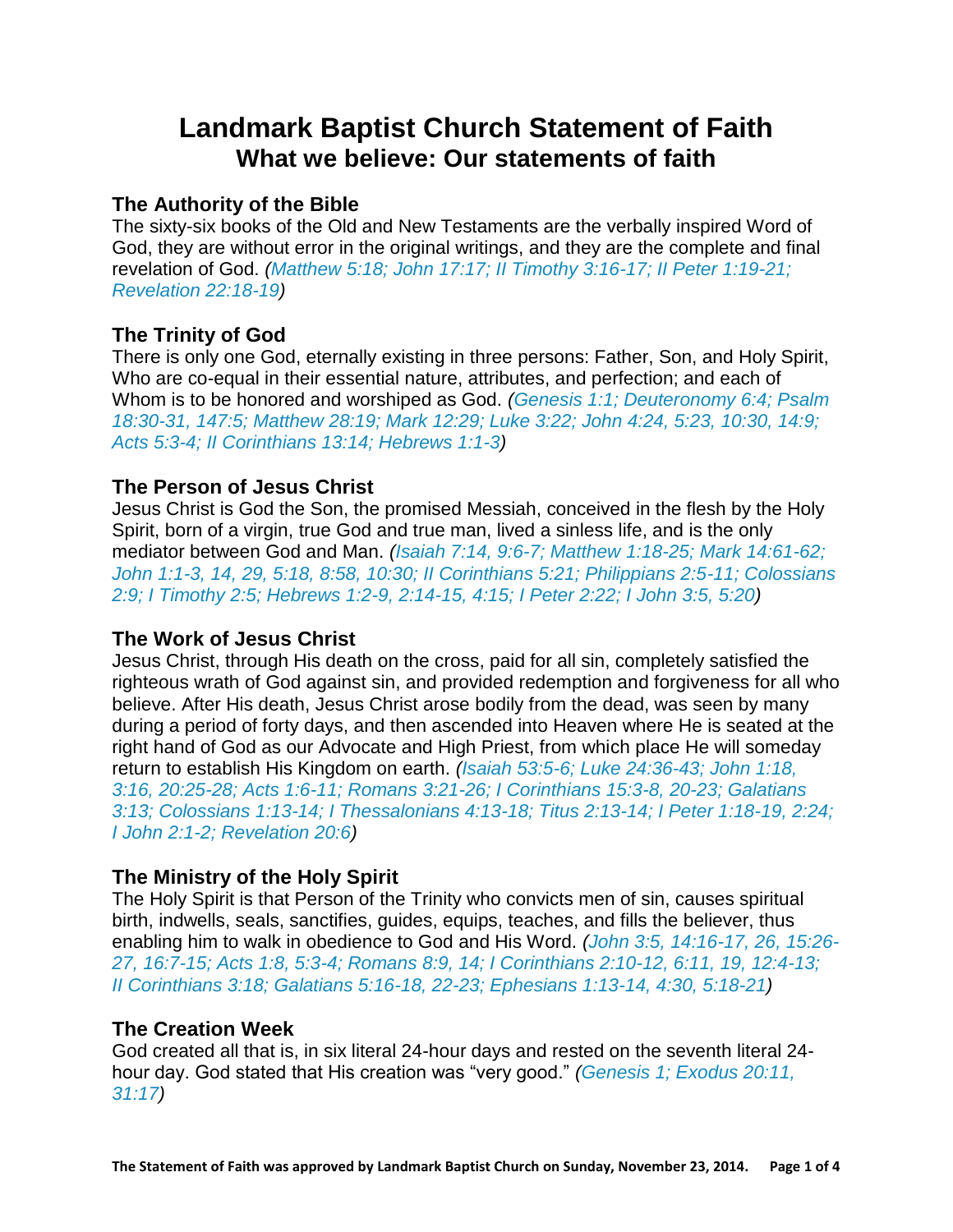# **Landmark Baptist Church Statement of Faith What we believe: Our statements of faith**

# **The Authority of the Bible**

The sixty-six books of the Old and New Testaments are the verbally inspired Word of God, they are without error in the original writings, and they are the complete and final revelation of God. *(Matthew 5:18; John 17:17; II Timothy 3:16-17; II Peter 1:19-21; Revelation 22:18-19)*

## **The Trinity of God**

There is only one God, eternally existing in three persons: Father, Son, and Holy Spirit, Who are co-equal in their essential nature, attributes, and perfection; and each of Whom is to be honored and worshiped as God. *(Genesis 1:1; Deuteronomy 6:4; Psalm 18:30-31, 147:5; Matthew 28:19; Mark 12:29; Luke 3:22; John 4:24, 5:23, 10:30, 14:9; Acts 5:3-4; II Corinthians 13:14; Hebrews 1:1-3)*

## **The Person of Jesus Christ**

Jesus Christ is God the Son, the promised Messiah, conceived in the flesh by the Holy Spirit, born of a virgin, true God and true man, lived a sinless life, and is the only mediator between God and Man. *(Isaiah 7:14, 9:6-7; Matthew 1:18-25; Mark 14:61-62; John 1:1-3, 14, 29, 5:18, 8:58, 10:30; II Corinthians 5:21; Philippians 2:5-11; Colossians 2:9; I Timothy 2:5; Hebrews 1:2-9, 2:14-15, 4:15; I Peter 2:22; I John 3:5, 5:20)*

### **The Work of Jesus Christ**

Jesus Christ, through His death on the cross, paid for all sin, completely satisfied the righteous wrath of God against sin, and provided redemption and forgiveness for all who believe. After His death, Jesus Christ arose bodily from the dead, was seen by many during a period of forty days, and then ascended into Heaven where He is seated at the right hand of God as our Advocate and High Priest, from which place He will someday return to establish His Kingdom on earth. *(Isaiah 53:5-6; Luke 24:36-43; John 1:18, 3:16, 20:25-28; Acts 1:6-11; Romans 3:21-26; I Corinthians 15:3-8, 20-23; Galatians 3:13; Colossians 1:13-14; I Thessalonians 4:13-18; Titus 2:13-14; I Peter 1:18-19, 2:24; I John 2:1-2; Revelation 20:6)*

# **The Ministry of the Holy Spirit**

The Holy Spirit is that Person of the Trinity who convicts men of sin, causes spiritual birth, indwells, seals, sanctifies, guides, equips, teaches, and fills the believer, thus enabling him to walk in obedience to God and His Word. *(John 3:5, 14:16-17, 26, 15:26- 27, 16:7-15; Acts 1:8, 5:3-4; Romans 8:9, 14; I Corinthians 2:10-12, 6:11, 19, 12:4-13; II Corinthians 3:18; Galatians 5:16-18, 22-23; Ephesians 1:13-14, 4:30, 5:18-21)*

### **The Creation Week**

God created all that is, in six literal 24-hour days and rested on the seventh literal 24 hour day. God stated that His creation was "very good." *(Genesis 1; Exodus 20:11, 31:17)*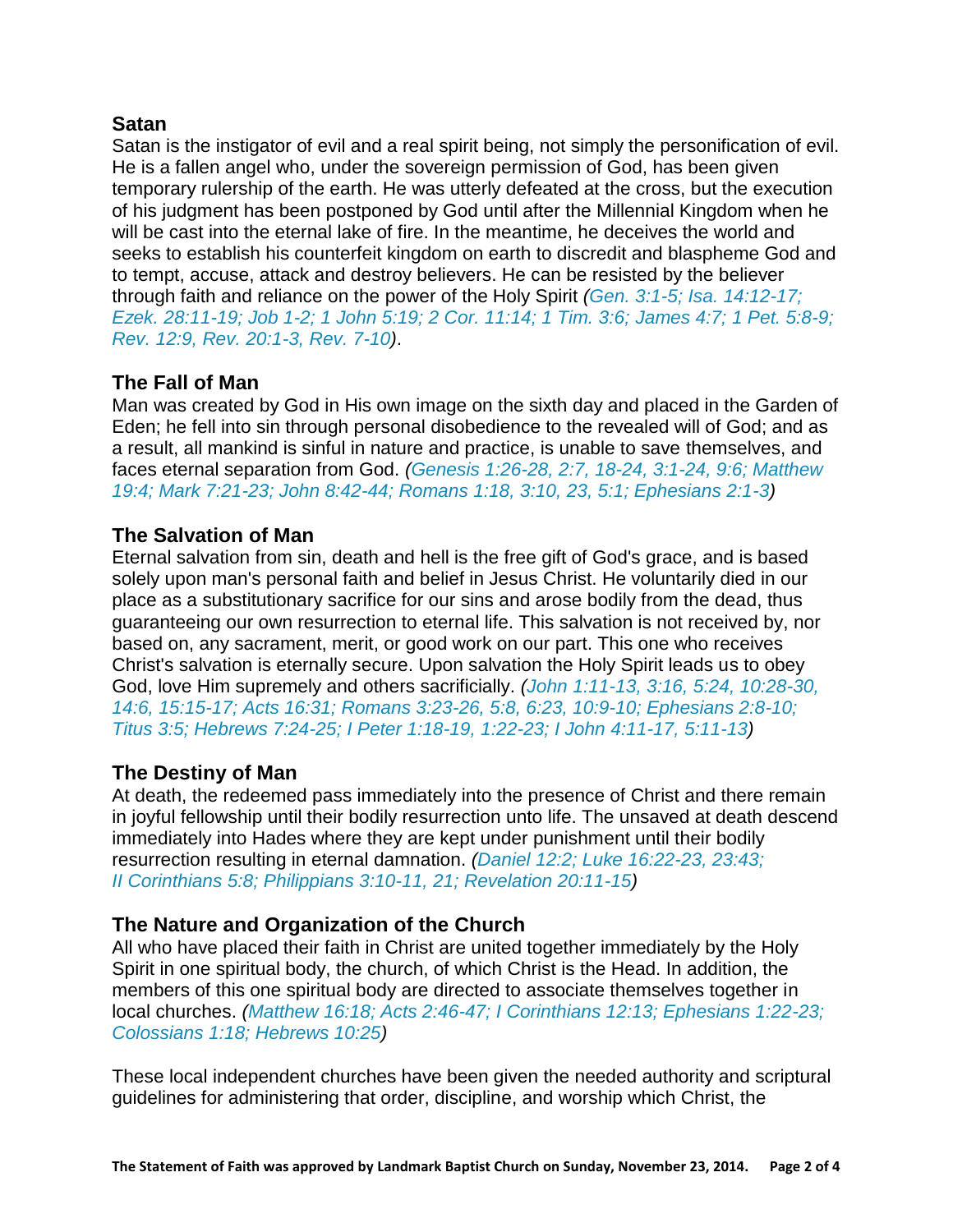#### **Satan**

Satan is the instigator of evil and a real spirit being, not simply the personification of evil. He is a fallen angel who, under the sovereign permission of God, has been given temporary rulership of the earth. He was utterly defeated at the cross, but the execution of his judgment has been postponed by God until after the Millennial Kingdom when he will be cast into the eternal lake of fire. In the meantime, he deceives the world and seeks to establish his counterfeit kingdom on earth to discredit and blaspheme God and to tempt, accuse, attack and destroy believers. He can be resisted by the believer through faith and reliance on the power of the Holy Spirit *(Gen. 3:1-5; Isa. 14:12-17; Ezek. 28:11-19; Job 1-2; 1 John 5:19; 2 Cor. 11:14; 1 Tim. 3:6; James 4:7; 1 Pet. 5:8-9; Rev. 12:9, Rev. 20:1-3, Rev. 7-10)*.

# **The Fall of Man**

Man was created by God in His own image on the sixth day and placed in the Garden of Eden; he fell into sin through personal disobedience to the revealed will of God; and as a result, all mankind is sinful in nature and practice, is unable to save themselves, and faces eternal separation from God. *(Genesis 1:26-28, 2:7, 18-24, 3:1-24, 9:6; Matthew 19:4; Mark 7:21-23; John 8:42-44; Romans 1:18, 3:10, 23, 5:1; Ephesians 2:1-3)*

### **The Salvation of Man**

Eternal salvation from sin, death and hell is the free gift of God's grace, and is based solely upon man's personal faith and belief in Jesus Christ. He voluntarily died in our place as a substitutionary sacrifice for our sins and arose bodily from the dead, thus guaranteeing our own resurrection to eternal life. This salvation is not received by, nor based on, any sacrament, merit, or good work on our part. This one who receives Christ's salvation is eternally secure. Upon salvation the Holy Spirit leads us to obey God, love Him supremely and others sacrificially. *(John 1:11-13, 3:16, 5:24, 10:28-30, 14:6, 15:15-17; Acts 16:31; Romans 3:23-26, 5:8, 6:23, 10:9-10; Ephesians 2:8-10; Titus 3:5; Hebrews 7:24-25; I Peter 1:18-19, 1:22-23; I John 4:11-17, 5:11-13)*

### **The Destiny of Man**

At death, the redeemed pass immediately into the presence of Christ and there remain in joyful fellowship until their bodily resurrection unto life. The unsaved at death descend immediately into Hades where they are kept under punishment until their bodily resurrection resulting in eternal damnation. *(Daniel 12:2; Luke 16:22-23, 23:43; II Corinthians 5:8; Philippians 3:10-11, 21; Revelation 20:11-15)*

#### **The Nature and Organization of the Church**

All who have placed their faith in Christ are united together immediately by the Holy Spirit in one spiritual body, the church, of which Christ is the Head. In addition, the members of this one spiritual body are directed to associate themselves together in local churches. *(Matthew 16:18; Acts 2:46-47; I Corinthians 12:13; Ephesians 1:22-23; Colossians 1:18; Hebrews 10:25)*

These local independent churches have been given the needed authority and scriptural guidelines for administering that order, discipline, and worship which Christ, the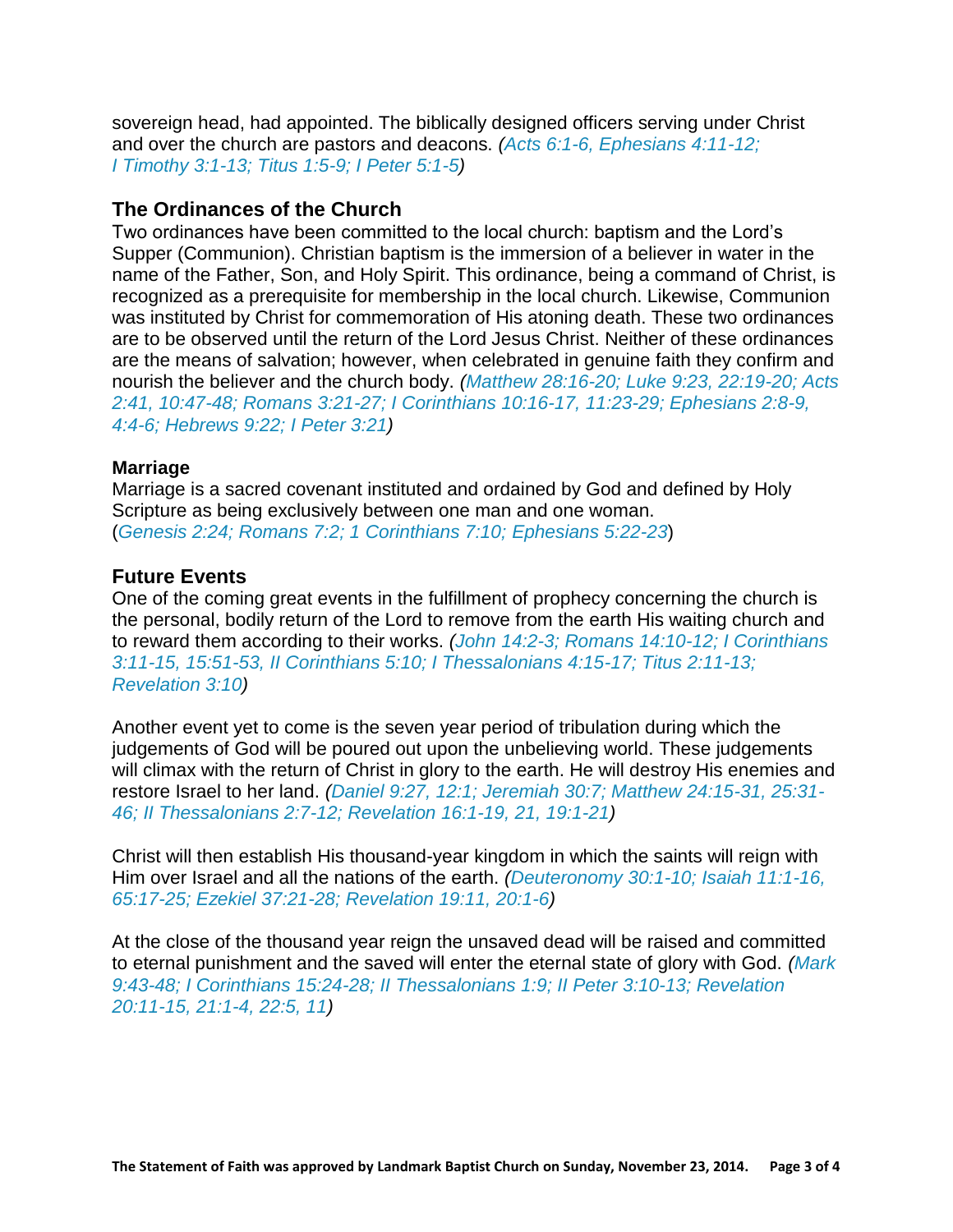sovereign head, had appointed. The biblically designed officers serving under Christ and over the church are pastors and deacons. *(Acts 6:1-6, Ephesians 4:11-12; I Timothy 3:1-13; Titus 1:5-9; I Peter 5:1-5)*

#### **The Ordinances of the Church**

Two ordinances have been committed to the local church: baptism and the Lord's Supper (Communion). Christian baptism is the immersion of a believer in water in the name of the Father, Son, and Holy Spirit. This ordinance, being a command of Christ, is recognized as a prerequisite for membership in the local church. Likewise, Communion was instituted by Christ for commemoration of His atoning death. These two ordinances are to be observed until the return of the Lord Jesus Christ. Neither of these ordinances are the means of salvation; however, when celebrated in genuine faith they confirm and nourish the believer and the church body. *(Matthew 28:16-20; Luke 9:23, 22:19-20; Acts 2:41, 10:47-48; Romans 3:21-27; I Corinthians 10:16-17, 11:23-29; Ephesians 2:8-9, 4:4-6; Hebrews 9:22; I Peter 3:21)*

#### **Marriage**

Marriage is a sacred covenant instituted and ordained by God and defined by Holy Scripture as being exclusively between one man and one woman. (*Genesis 2:24; Romans 7:2; 1 Corinthians 7:10; Ephesians 5:22-23*)

#### **Future Events**

One of the coming great events in the fulfillment of prophecy concerning the church is the personal, bodily return of the Lord to remove from the earth His waiting church and to reward them according to their works. *(John 14:2-3; Romans 14:10-12; I Corinthians 3:11-15, 15:51-53, II Corinthians 5:10; I Thessalonians 4:15-17; Titus 2:11-13; Revelation 3:10)*

Another event yet to come is the seven year period of tribulation during which the judgements of God will be poured out upon the unbelieving world. These judgements will climax with the return of Christ in glory to the earth. He will destroy His enemies and restore Israel to her land. *(Daniel 9:27, 12:1; Jeremiah 30:7; Matthew 24:15-31, 25:31- 46; II Thessalonians 2:7-12; Revelation 16:1-19, 21, 19:1-21)*

Christ will then establish His thousand-year kingdom in which the saints will reign with Him over Israel and all the nations of the earth. *(Deuteronomy 30:1-10; Isaiah 11:1-16, 65:17-25; Ezekiel 37:21-28; Revelation 19:11, 20:1-6)*

At the close of the thousand year reign the unsaved dead will be raised and committed to eternal punishment and the saved will enter the eternal state of glory with God. *(Mark 9:43-48; I Corinthians 15:24-28; II Thessalonians 1:9; II Peter 3:10-13; Revelation 20:11-15, 21:1-4, 22:5, 11)*